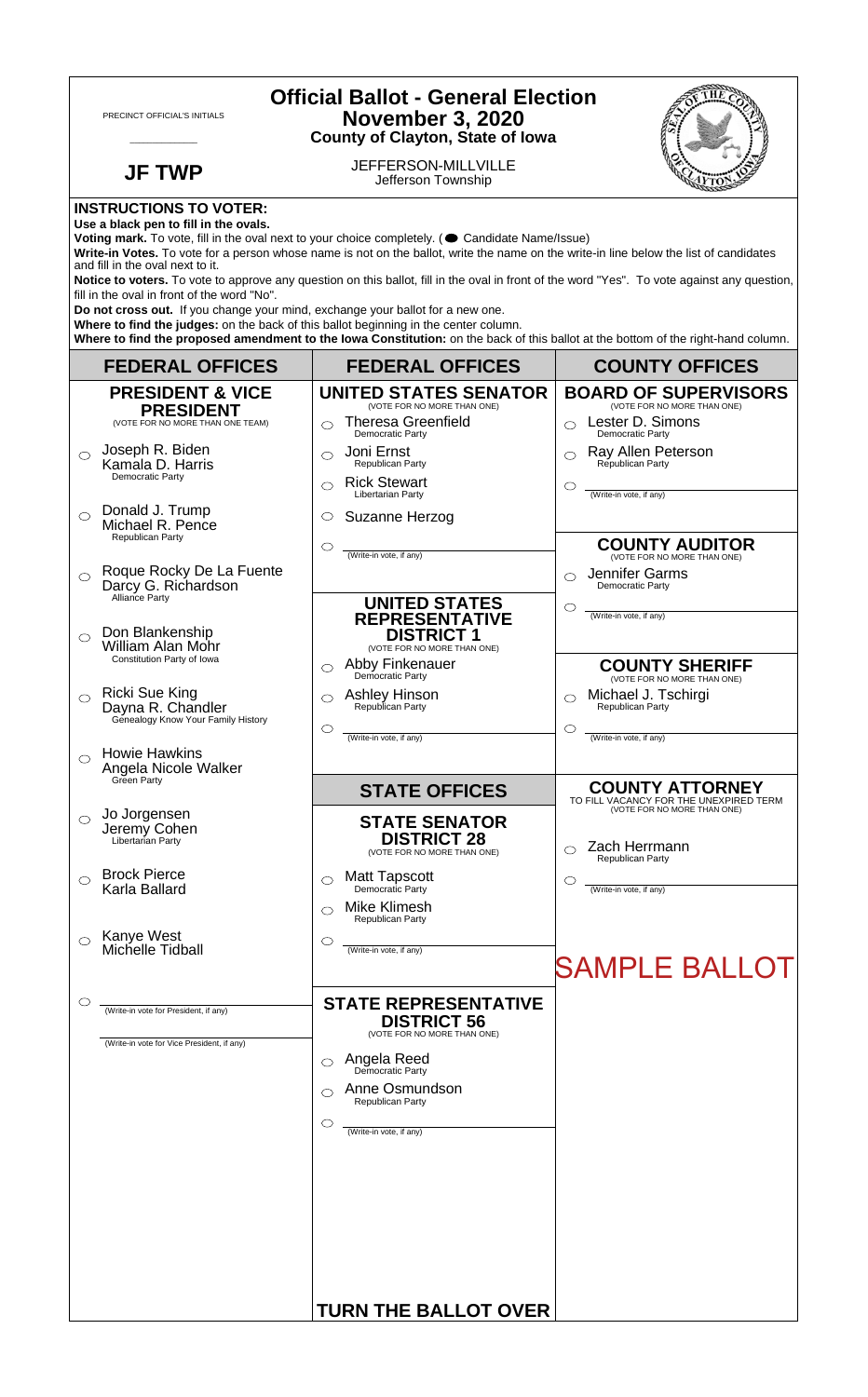|                                                                                                                                                                                                                                                                                                                                                                                                                                                                                                                                                       | PRECINCT OFFICIAL'S INITIALS                                                          | <b>Official Ballot - General Election</b><br><b>November 3, 2020</b><br><b>County of Clayton, State of Iowa</b>      |                                                                                                 |  |
|-------------------------------------------------------------------------------------------------------------------------------------------------------------------------------------------------------------------------------------------------------------------------------------------------------------------------------------------------------------------------------------------------------------------------------------------------------------------------------------------------------------------------------------------------------|---------------------------------------------------------------------------------------|----------------------------------------------------------------------------------------------------------------------|-------------------------------------------------------------------------------------------------|--|
|                                                                                                                                                                                                                                                                                                                                                                                                                                                                                                                                                       | <b>JF TWP</b>                                                                         | JEFFERSON-MILLVILLE<br>Jefferson Township                                                                            |                                                                                                 |  |
| <b>INSTRUCTIONS TO VOTER:</b><br>Use a black pen to fill in the ovals.<br>Voting mark. To vote, fill in the oval next to your choice completely. ( Candidate Name/Issue)<br>Write-in Votes. To vote for a person whose name is not on the ballot, write the name on the write-in line below the list of candidates<br>and fill in the oval next to it.<br>Notice to voters. To vote to approve any question on this ballot, fill in the oval in front of the word "Yes". To vote against any question,<br>fill in the oval in front of the word "No". |                                                                                       |                                                                                                                      |                                                                                                 |  |
| Do not cross out. If you change your mind, exchange your ballot for a new one.<br>Where to find the judges: on the back of this ballot beginning in the center column.<br>Where to find the proposed amendment to the lowa Constitution: on the back of this ballot at the bottom of the right-hand column.                                                                                                                                                                                                                                           |                                                                                       |                                                                                                                      |                                                                                                 |  |
|                                                                                                                                                                                                                                                                                                                                                                                                                                                                                                                                                       | <b>FEDERAL OFFICES</b>                                                                | <b>FEDERAL OFFICES</b>                                                                                               | <b>COUNTY OFFICES</b>                                                                           |  |
|                                                                                                                                                                                                                                                                                                                                                                                                                                                                                                                                                       | <b>PRESIDENT &amp; VICE</b><br><b>PRESIDENT</b><br>(VOTE FOR NO MORE THAN ONE TEAM)   | <b>UNITED STATES SENATOR</b><br>(VOTE FOR NO MORE THAN ONE)<br><b>Theresa Greenfield</b>                             | <b>BOARD OF SUPERVISORS</b><br>(VOTE FOR NO MORE THAN ONE)<br>Lester D. Simons<br>$\bigcirc$    |  |
| ◯                                                                                                                                                                                                                                                                                                                                                                                                                                                                                                                                                     | Joseph R. Biden<br>Kamala D. Harris<br>Democratic Party                               | Democratic Party<br>Joni Ernst<br>Republican Party<br><b>Rick Stewart</b><br>◯                                       | Democratic Party<br>Ray Allen Peterson<br>Republican Party<br>$\circ$                           |  |
| $\bigcirc$                                                                                                                                                                                                                                                                                                                                                                                                                                                                                                                                            | Donald J. Trump<br>Michael R. Pence                                                   | Libertarian Party<br>Suzanne Herzog<br>O                                                                             | (Write-in vote, if any)                                                                         |  |
| $\bigcirc$                                                                                                                                                                                                                                                                                                                                                                                                                                                                                                                                            | Republican Party<br>Roque Rocky De La Fuente<br>Darcy G. Richardson<br>Alliance Party | $\circlearrowright$<br>(Write-in vote, if any)                                                                       | <b>COUNTY AUDITOR</b><br>(VOTE FOR NO MORE THAN ONE)<br>Jennifer Garms<br>◯<br>Democratic Party |  |
| ◯                                                                                                                                                                                                                                                                                                                                                                                                                                                                                                                                                     | Don Blankenship<br><b>William Alan Mohr</b><br>Constitution Party of Iowa             | <b>UNITED STATES</b><br><b>REPRESENTATIVE</b><br><b>DISTRICT 1</b><br>(VOTE FOR NO MORE THAN ONE)<br>Abby Finkenauer | $\circlearrowright$<br>(Write-in vote, if any)                                                  |  |
| $\bigcirc$                                                                                                                                                                                                                                                                                                                                                                                                                                                                                                                                            | Ricki Sue King<br>Dayna R. Chandler<br>Genealogy Know Your Family History             | ⌒<br>Democratic Party<br><b>Ashley Hinson</b><br>Republican Party                                                    | <b>COUNTY SHERIFF</b><br>(VOTE FOR NO MORE THAN ONE)<br>Michael J. Tschirgi<br>Republican Party |  |
|                                                                                                                                                                                                                                                                                                                                                                                                                                                                                                                                                       | <b>Howie Hawkins</b><br>Angela Nicole Walker                                          | ◯<br>(Write-in vote, if any)                                                                                         | $\circlearrowright$<br>(Write-in vote, if any)                                                  |  |
|                                                                                                                                                                                                                                                                                                                                                                                                                                                                                                                                                       | Green Party                                                                           | <b>STATE OFFICES</b>                                                                                                 | <b>COUNTY ATTORNEY</b><br>TO FILL VACANCY FOR THE UNEXPIRED TERM                                |  |
| ◯                                                                                                                                                                                                                                                                                                                                                                                                                                                                                                                                                     | Jo Jorgensen<br>Jeremy Cohen<br>Libertarian Partv                                     | <b>STATE SENATOR</b><br><b>DISTRICT 28</b><br>(VOTE FOR NO MORE THAN ONE)                                            | (VOTE FOR NO MORE THAN ONE)<br>Zach Herrmann<br>Republican Party                                |  |
| ◯                                                                                                                                                                                                                                                                                                                                                                                                                                                                                                                                                     | <b>Brock Pierce</b><br>Karla Ballard                                                  | <b>Matt Tapscott</b><br>◯<br>Democratic Party<br><b>Mike Klimesh</b>                                                 | $\circ$<br>(Write-in vote, if any)                                                              |  |
| $\bigcirc$                                                                                                                                                                                                                                                                                                                                                                                                                                                                                                                                            | Kanye West<br>Michelle Tidball                                                        | Republican Party<br>O<br>(Write-in vote, if any)                                                                     | <b>SAMPLE BALLOT</b>                                                                            |  |
| O                                                                                                                                                                                                                                                                                                                                                                                                                                                                                                                                                     | (Write-in vote for President, if any)<br>(Write-in vote for Vice President, if any)   | <b>STATE REPRESENTATIVE</b><br><b>DISTRICT 56</b><br>(VOTE FOR NO MORE THAN ONE)                                     |                                                                                                 |  |
|                                                                                                                                                                                                                                                                                                                                                                                                                                                                                                                                                       |                                                                                       | Angela Reed<br>Democratic Party<br>⌒<br>Anne Osmundson                                                               |                                                                                                 |  |
|                                                                                                                                                                                                                                                                                                                                                                                                                                                                                                                                                       |                                                                                       | Republican Party<br>O<br>(Write-in vote, if any)                                                                     |                                                                                                 |  |
|                                                                                                                                                                                                                                                                                                                                                                                                                                                                                                                                                       |                                                                                       | <b>TURN THE BALLOT OVER</b>                                                                                          |                                                                                                 |  |